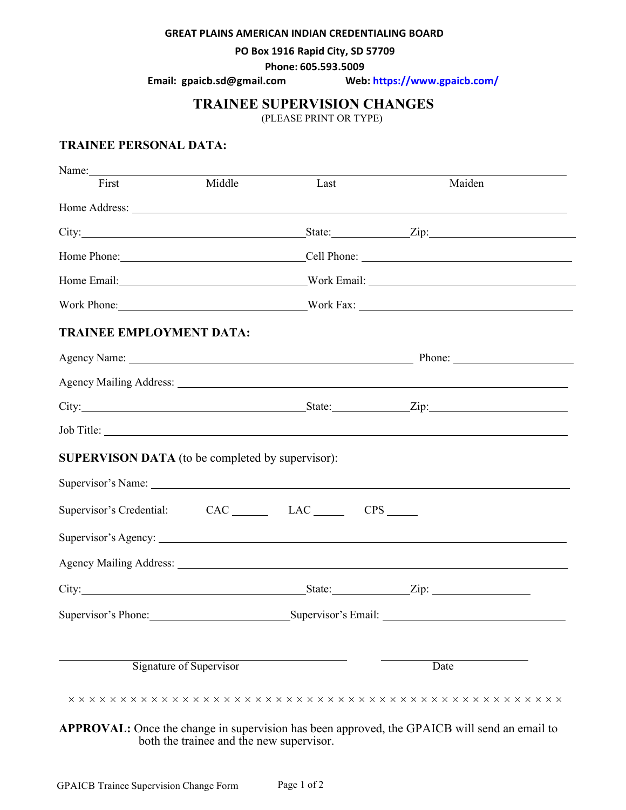#### **GREAT PLAINS AMERICAN INDIAN CREDENTIALING BOARD**

**PO Box 1916 Rapid City, SD 57709**

**Phone: 605.593.5009**

**Email: [gpaicb.sd@gmail.co](mailto:bapp@midwestsolutionssd.com)m Web: [https://www.gpaicb.com/](https://dss.sd.gov/licensingboards/bapp/bapp.aspx)**

### **TRAINEE SUPERVISION CHANGES**

(PLEASE PRINT OR TYPE)

### **TRAINEE PERSONAL DATA:**

| First                                                        | Middle | Last                                                                                                                                                                                                                           | Maiden                                                                                                                                                                                                                              |  |
|--------------------------------------------------------------|--------|--------------------------------------------------------------------------------------------------------------------------------------------------------------------------------------------------------------------------------|-------------------------------------------------------------------------------------------------------------------------------------------------------------------------------------------------------------------------------------|--|
|                                                              |        |                                                                                                                                                                                                                                |                                                                                                                                                                                                                                     |  |
|                                                              |        |                                                                                                                                                                                                                                |                                                                                                                                                                                                                                     |  |
|                                                              |        | Home Phone: Cell Phone: Cell Phone:                                                                                                                                                                                            |                                                                                                                                                                                                                                     |  |
|                                                              |        | Home Email: North Email: North Email: North Email: North Email: North Email: North Email: North Email: North Email: North Email: North Email: North Email: North Email: North Email: North Email: North Email: North Email: No |                                                                                                                                                                                                                                     |  |
|                                                              |        | Work Phone: Work Fax:                                                                                                                                                                                                          |                                                                                                                                                                                                                                     |  |
| <b>TRAINEE EMPLOYMENT DATA:</b>                              |        |                                                                                                                                                                                                                                |                                                                                                                                                                                                                                     |  |
|                                                              |        |                                                                                                                                                                                                                                |                                                                                                                                                                                                                                     |  |
|                                                              |        |                                                                                                                                                                                                                                |                                                                                                                                                                                                                                     |  |
|                                                              |        |                                                                                                                                                                                                                                | City: <u>City:</u> City: City: City: City: City: City: City: City: City: City: City: City: City: City: City: City: City: City: City: City: City: City: City: City: City: City: City: City: City: City: City: City: City: City: City |  |
|                                                              |        |                                                                                                                                                                                                                                |                                                                                                                                                                                                                                     |  |
| <b>SUPERVISON DATA</b> (to be completed by supervisor):      |        |                                                                                                                                                                                                                                |                                                                                                                                                                                                                                     |  |
|                                                              |        |                                                                                                                                                                                                                                |                                                                                                                                                                                                                                     |  |
| Supervisor's Credential: CAC ________ LAC _______ CPS ______ |        |                                                                                                                                                                                                                                |                                                                                                                                                                                                                                     |  |
|                                                              |        |                                                                                                                                                                                                                                | Supervisor's Agency:                                                                                                                                                                                                                |  |
|                                                              |        |                                                                                                                                                                                                                                |                                                                                                                                                                                                                                     |  |
|                                                              |        |                                                                                                                                                                                                                                | City: <u>City:</u> City: City: City: City: City: City: City: City: City: City: City: City: City: City: City: City: City: City: City: City: City: City: City: City: City: City: City: City: City: City: City: City: City: City: City |  |
|                                                              |        | Supervisor's Phone: Supervisor's Email: Supervisor's Email:                                                                                                                                                                    |                                                                                                                                                                                                                                     |  |
|                                                              |        |                                                                                                                                                                                                                                |                                                                                                                                                                                                                                     |  |
| Signature of Supervisor                                      |        |                                                                                                                                                                                                                                | Date                                                                                                                                                                                                                                |  |
|                                                              |        |                                                                                                                                                                                                                                |                                                                                                                                                                                                                                     |  |

**APPROVAL:** Once the change in supervision has been approved, the GPAICB will send an email to both the trainee and the new supervisor.